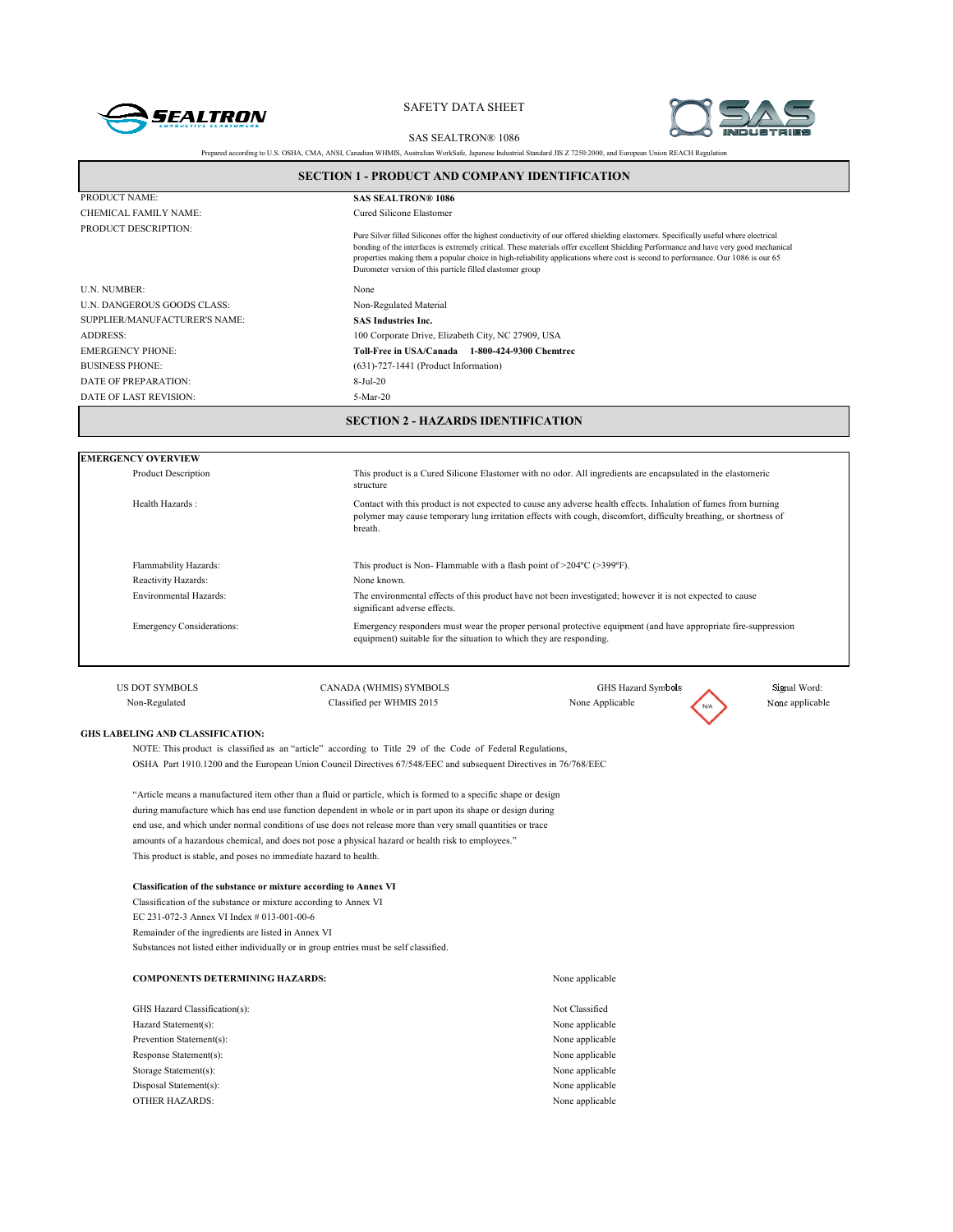



SAS SEALTRON® 1086

|                                               | <b>SECTION 1 - PRODUCT AND COMPANY IDENTIFICATION</b>                                                                                                                                                                          |                                                                                                                                                                                                                                                                                                                                                                                                                   |                 |
|-----------------------------------------------|--------------------------------------------------------------------------------------------------------------------------------------------------------------------------------------------------------------------------------|-------------------------------------------------------------------------------------------------------------------------------------------------------------------------------------------------------------------------------------------------------------------------------------------------------------------------------------------------------------------------------------------------------------------|-----------------|
| PRODUCT NAME:                                 | <b>SAS SEALTRON® 1086</b>                                                                                                                                                                                                      |                                                                                                                                                                                                                                                                                                                                                                                                                   |                 |
| CHEMICAL FAMILY NAME:                         | Cured Silicone Elastomer                                                                                                                                                                                                       |                                                                                                                                                                                                                                                                                                                                                                                                                   |                 |
| PRODUCT DESCRIPTION:                          | Durometer version of this particle filled elastomer group                                                                                                                                                                      | Pure Silver filled Silicones offer the highest conductivity of our offered shielding elastomers. Specifically useful where electrical<br>bonding of the interfaces is extremely critical. These materials offer excellent Shielding Performance and have very good mechanical<br>properties making them a popular choice in high-reliability applications where cost is second to performance. Our 1086 is our 65 |                 |
| U.N. NUMBER:                                  | None                                                                                                                                                                                                                           |                                                                                                                                                                                                                                                                                                                                                                                                                   |                 |
| U.N. DANGEROUS GOODS CLASS:                   | Non-Regulated Material                                                                                                                                                                                                         |                                                                                                                                                                                                                                                                                                                                                                                                                   |                 |
| SUPPLIER/MANUFACTURER'S NAME:                 | <b>SAS Industries Inc.</b>                                                                                                                                                                                                     |                                                                                                                                                                                                                                                                                                                                                                                                                   |                 |
| <b>ADDRESS:</b>                               | 100 Corporate Drive, Elizabeth City, NC 27909, USA                                                                                                                                                                             |                                                                                                                                                                                                                                                                                                                                                                                                                   |                 |
| <b>EMERGENCY PHONE:</b>                       | Toll-Free in USA/Canada 1-800-424-9300 Chemtrec                                                                                                                                                                                |                                                                                                                                                                                                                                                                                                                                                                                                                   |                 |
| <b>BUSINESS PHONE:</b>                        | $(631)$ -727-1441 (Product Information)                                                                                                                                                                                        |                                                                                                                                                                                                                                                                                                                                                                                                                   |                 |
| DATE OF PREPARATION:                          | $8-Jul-20$                                                                                                                                                                                                                     |                                                                                                                                                                                                                                                                                                                                                                                                                   |                 |
| DATE OF LAST REVISION:                        | 5-Mar-20                                                                                                                                                                                                                       |                                                                                                                                                                                                                                                                                                                                                                                                                   |                 |
| <b>Product Description</b><br>Health Hazards: | structure<br>breath.                                                                                                                                                                                                           | This product is a Cured Silicone Elastomer with no odor. All ingredients are encapsulated in the elastomeric<br>Contact with this product is not expected to cause any adverse health effects. Inhalation of fumes from burning<br>polymer may cause temporary lung irritation effects with cough, discomfort, difficulty breathing, or shortness of                                                              |                 |
| Flammability Hazards:                         | This product is Non-Flammable with a flash point of $>204^{\circ}C$ ( $>399^{\circ}F$ ).                                                                                                                                       |                                                                                                                                                                                                                                                                                                                                                                                                                   |                 |
| Reactivity Hazards:                           | None known.                                                                                                                                                                                                                    |                                                                                                                                                                                                                                                                                                                                                                                                                   |                 |
| Environmental Hazards:                        | The environmental effects of this product have not been investigated; however it is not expected to cause<br>significant adverse effects.                                                                                      |                                                                                                                                                                                                                                                                                                                                                                                                                   |                 |
| <b>Emergency Considerations:</b>              | equipment) suitable for the situation to which they are responding.                                                                                                                                                            | Emergency responders must wear the proper personal protective equipment (and have appropriate fire-suppression                                                                                                                                                                                                                                                                                                    |                 |
| <b>US DOT SYMBOLS</b>                         | CANADA (WHMIS) SYMBOLS                                                                                                                                                                                                         | GHS Hazard Symbols                                                                                                                                                                                                                                                                                                                                                                                                | Signal Word:    |
| Non-Regulated                                 | Classified per WHMIS 2015                                                                                                                                                                                                      | None Applicable                                                                                                                                                                                                                                                                                                                                                                                                   | None applicable |
| GHS LABELING AND CLASSIFICATION:              | NOTE: This product is classified as an "article" according to Title 29 of the Code of Federal Regulations,<br>OSHA Part 1910.1200 and the European Union Council Directives 67/548/EEC and subsequent Directives in 76/768/EEC |                                                                                                                                                                                                                                                                                                                                                                                                                   |                 |

"Article means a manufactured item other than a fluid or particle, which is formed to a specific shape or design during manufacture which has end use function dependent in whole or in part upon its shape or design during end use, and which under normal conditions of use does not release more than very small quantities or trace amounts of a hazardous chemical, and does not pose a physical hazard or health risk to employees." This product is stable, and poses no immediate hazard to health.

#### **Classification of the substance or mixture according to Annex VI**

Classification of the substance or mixture according to Annex VI EC 231-072-3 Annex VI Index # 013-001-00-6 Remainder of the ingredients are listed in Annex VI Substances not listed either individually or in group entries must be self classified.

| <b>COMPONENTS DETERMINING HAZARDS:</b> | None applicable |
|----------------------------------------|-----------------|
| GHS Hazard Classification(s):          | Not Classified  |
| Hazard Statement(s):                   | None applicable |
| Prevention Statement(s):               | None applicable |
| Response Statement(s):                 | None applicable |
| Storage Statement(s):                  | None applicable |
| Disposal Statement(s):                 | None applicable |
| <b>OTHER HAZARDS:</b>                  | None applicable |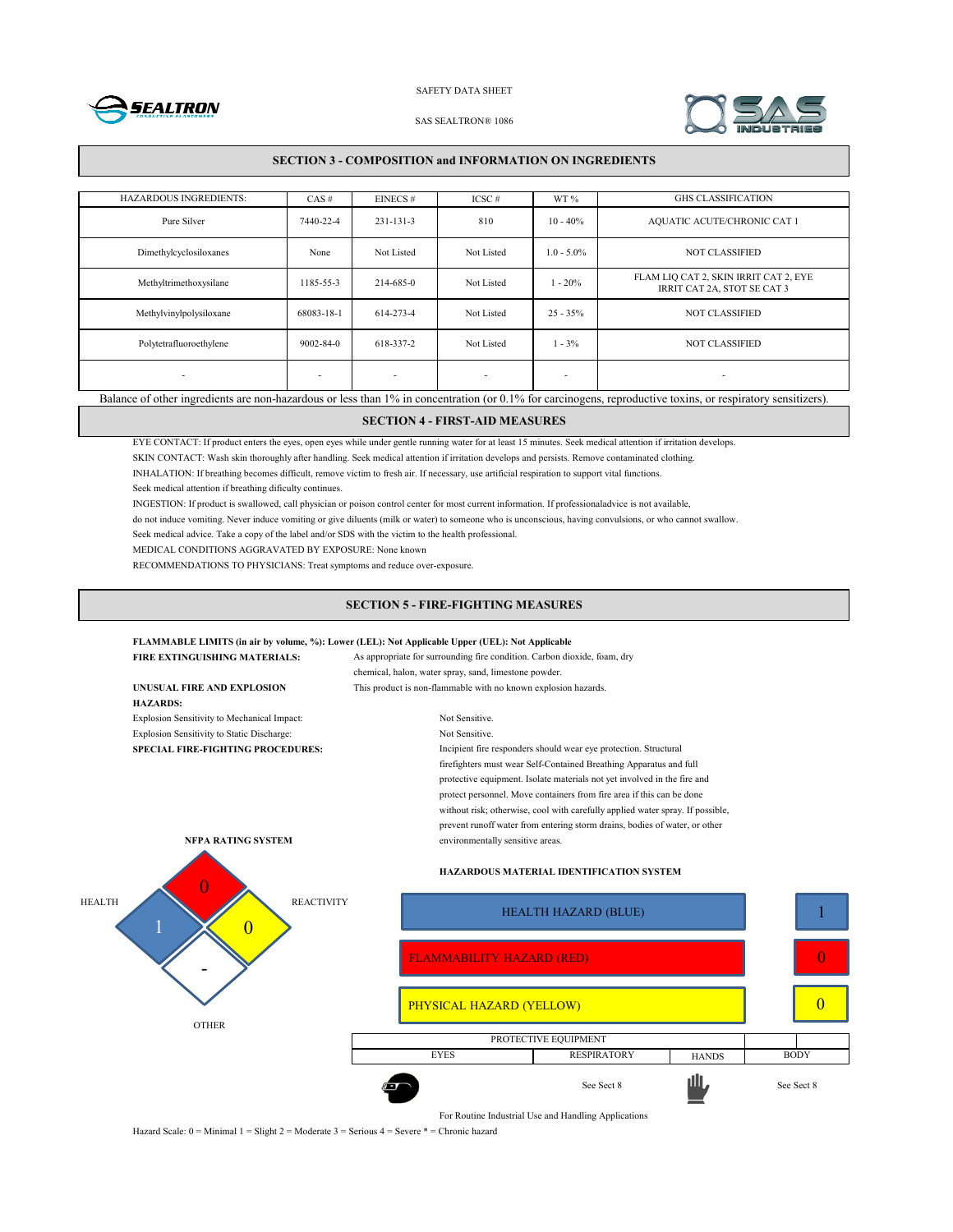



#### SAS SEALTRON® 1086

## **SECTION 3 - COMPOSITION and INFORMATION ON INGREDIENTS**

| <b>HAZARDOUS INGREDIENTS:</b>                                                                                                                               | CAS#                     | EINECS#         | $ICSC \#$                | WT%           | <b>GHS CLASSIFICATION</b>                                            |
|-------------------------------------------------------------------------------------------------------------------------------------------------------------|--------------------------|-----------------|--------------------------|---------------|----------------------------------------------------------------------|
| Pure Silver                                                                                                                                                 | 7440-22-4                | $231 - 131 - 3$ | 810                      | $10 - 40\%$   | AQUATIC ACUTE/CHRONIC CAT 1                                          |
| Dimethylcyclosiloxanes                                                                                                                                      | None                     | Not Listed      | Not Listed               | $1.0 - 5.0\%$ | <b>NOT CLASSIFIED</b>                                                |
| Methyltrimethoxysilane                                                                                                                                      | 185-55-3                 | 214-685-0       | Not Listed               | $1 - 20%$     | FLAM LIQ CAT 2, SKIN IRRIT CAT 2, EYE<br>IRRIT CAT 2A, STOT SE CAT 3 |
| Methylvinylpolysiloxane                                                                                                                                     | 68083-18-1               | 614-273-4       | Not Listed               | $25 - 35\%$   | <b>NOT CLASSIFIED</b>                                                |
| Polytetrafluoroethylene                                                                                                                                     | $9002 - 84 - 0$          | 618-337-2       | Not Listed               | $1 - 3\%$     | <b>NOT CLASSIFIED</b>                                                |
| $\overline{\phantom{a}}$                                                                                                                                    | $\overline{\phantom{a}}$ |                 | $\overline{\phantom{a}}$ | ٠             | ۰                                                                    |
| Balance of other ingredients are non-hazardous or less than 1% in concentration (or 0.1% for carcinogens, reproductive toxins, or respiratory sensitizers). |                          |                 |                          |               |                                                                      |

## **SECTION 4 - FIRST-AID MEASURES**

EYE CONTACT: If product enters the eyes, open eyes while under gentle running water for at least 15 minutes. Seek medical attention if irritation develops.

SKIN CONTACT: Wash skin thoroughly after handling. Seek medical attention if irritation develops and persists. Remove contaminated clothing.

INHALATION: If breathing becomes difficult, remove victim to fresh air. If necessary, use artificial respiration to support vital functions.

Seek medical attention if breathing dificulty continues.

INGESTION: If product is swallowed, call physician or poison control center for most current information. If professionaladvice is not available,

do not induce vomiting. Never induce vomiting or give diluents (milk or water) to someone who is unconscious, having convulsions, or who cannot swallow.

Seek medical advice. Take a copy of the label and/or SDS with the victim to the health professional.

MEDICAL CONDITIONS AGGRAVATED BY EXPOSURE: None known

RECOMMENDATIONS TO PHYSICIANS: Treat symptoms and reduce over-exposure.

## **SECTION 5 - FIRE-FIGHTING MEASURES**

#### **FLAMMABLE LIMITS (in air by volume, %): Lower (LEL): Not Applicable Upper (UEL): Not Applicable**

| <b>FIRE EXTINGUISHING MATERIALS:</b>        | As appropriate for surrounding fire condition. Carbon dioxide, foam, dry                                                                                                                                                                                                                                                                                                                |  |  |
|---------------------------------------------|-----------------------------------------------------------------------------------------------------------------------------------------------------------------------------------------------------------------------------------------------------------------------------------------------------------------------------------------------------------------------------------------|--|--|
|                                             | chemical, halon, water spray, sand, limestone powder.                                                                                                                                                                                                                                                                                                                                   |  |  |
| UNUSUAL FIRE AND EXPLOSION                  | This product is non-flammable with no known explosion hazards.                                                                                                                                                                                                                                                                                                                          |  |  |
| <b>HAZARDS:</b>                             |                                                                                                                                                                                                                                                                                                                                                                                         |  |  |
| Explosion Sensitivity to Mechanical Impact: | Not Sensitive.                                                                                                                                                                                                                                                                                                                                                                          |  |  |
| Explosion Sensitivity to Static Discharge:  | Not Sensitive.                                                                                                                                                                                                                                                                                                                                                                          |  |  |
| <b>SPECIAL FIRE-FIGHTING PROCEDURES:</b>    | Incipient fire responders should wear eye protection. Structural                                                                                                                                                                                                                                                                                                                        |  |  |
|                                             | firefighters must wear Self-Contained Breathing Apparatus and full<br>protective equipment. Isolate materials not yet involved in the fire and<br>protect personnel. Move containers from fire area if this can be done<br>without risk; otherwise, cool with carefully applied water spray. If possible,<br>prevent runoff water from entering storm drains, bodies of water, or other |  |  |
| <b>NFPA RATING SYSTEM</b>                   | environmentally sensitive areas.                                                                                                                                                                                                                                                                                                                                                        |  |  |
|                                             | <b>HAZARDOUS MATERIAL IDENTIFICATION SYSTEM</b>                                                                                                                                                                                                                                                                                                                                         |  |  |
| <b>HEALTH</b>                               | <b>REACTIVITY</b><br><b>HEALTH HAZARD (BLUE)</b>                                                                                                                                                                                                                                                                                                                                        |  |  |
|                                             | <b>FLAMMABILITY HAZARD (RED)</b>                                                                                                                                                                                                                                                                                                                                                        |  |  |
|                                             |                                                                                                                                                                                                                                                                                                                                                                                         |  |  |
|                                             | PHYSICAL HAZARD (YELLOW)                                                                                                                                                                                                                                                                                                                                                                |  |  |
| <b>OTHER</b>                                |                                                                                                                                                                                                                                                                                                                                                                                         |  |  |
|                                             | PROTECTIVE EQUIPMENT                                                                                                                                                                                                                                                                                                                                                                    |  |  |

For Routine Industrial Use and Handling Applications

**HANDS** 

1

0

0

See Sect 8 See Sect 8

EYES RESPIRATORY HANDS BODY

Hazard Scale: 0 = Minimal 1 = Slight 2 = Moderate 3 = Serious 4 = Severe \* = Chronic hazard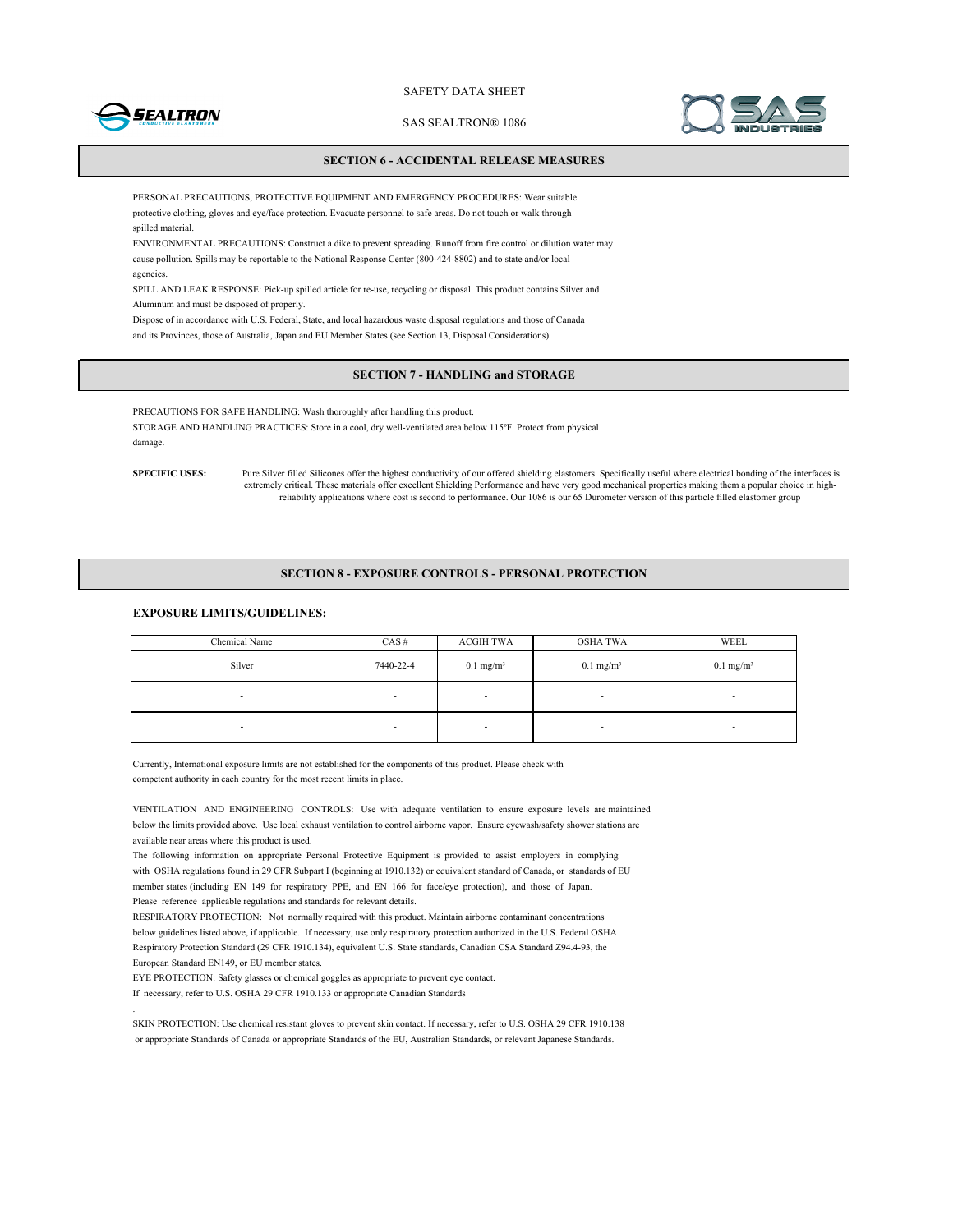

SAS SEALTRON® 1086



## **SECTION 6 - ACCIDENTAL RELEASE MEASURES**

PERSONAL PRECAUTIONS, PROTECTIVE EQUIPMENT AND EMERGENCY PROCEDURES: Wear suitable protective clothing, gloves and eye/face protection. Evacuate personnel to safe areas. Do not touch or walk through spilled material.

ENVIRONMENTAL PRECAUTIONS: Construct a dike to prevent spreading. Runoff from fire control or dilution water may cause pollution. Spills may be reportable to the National Response Center (800-424-8802) and to state and/or local agencies.

SPILL AND LEAK RESPONSE: Pick-up spilled article for re-use, recycling or disposal. This product contains Silver and Aluminum and must be disposed of properly.

Dispose of in accordance with U.S. Federal, State, and local hazardous waste disposal regulations and those of Canada and its Provinces, those of Australia, Japan and EU Member States (see Section 13, Disposal Considerations)

## **SECTION 7 - HANDLING and STORAGE**

PRECAUTIONS FOR SAFE HANDLING: Wash thoroughly after handling this product. STORAGE AND HANDLING PRACTICES: Store in a cool, dry well-ventilated area below 115ºF. Protect from physical damage.

**SPECIFIC USES:** Pure Silver filled Silicones offer the highest conductivity of our offered shielding elastomers. Specifically useful where electrical bonding of the interfaces is extremely critical. These materials offer excellent Shielding Performance and have very good mechanical properties making them a popular choice in highreliability applications where cost is second to performance. Our 1086 is our 65 Durometer version of this particle filled elastomer group

#### **SECTION 8 - EXPOSURE CONTROLS - PERSONAL PROTECTION**

## **EXPOSURE LIMITS/GUIDELINES:**

| Chemical Name | $CAS \#$                 | ACGIH TWA               | <b>OSHA TWA</b>          | WEEL                     |
|---------------|--------------------------|-------------------------|--------------------------|--------------------------|
| Silver        | 7440-22-4                | $0.1$ mg/m <sup>3</sup> | $0.1$ mg/m <sup>3</sup>  | $0.1$ mg/m <sup>3</sup>  |
| ۰             | $\overline{\phantom{a}}$ | -                       | $\overline{\phantom{a}}$ | $\overline{\phantom{a}}$ |
|               | $\overline{\phantom{a}}$ | -                       | $\overline{\phantom{a}}$ | -                        |

Currently, International exposure limits are not established for the components of this product. Please check with competent authority in each country for the most recent limits in place.

VENTILATION AND ENGINEERING CONTROLS: Use with adequate ventilation to ensure exposure levels are maintained below the limits provided above. Use local exhaust ventilation to control airborne vapor. Ensure eyewash/safety shower stations are available near areas where this product is used.

The following information on appropriate Personal Protective Equipment is provided to assist employers in complying with OSHA regulations found in 29 CFR Subpart I (beginning at 1910.132) or equivalent standard of Canada, or standards of EU member states (including EN 149 for respiratory PPE, and EN 166 for face/eye protection), and those of Japan. Please reference applicable regulations and standards for relevant details.

RESPIRATORY PROTECTION: Not normally required with this product. Maintain airborne contaminant concentrations below guidelines listed above, if applicable. If necessary, use only respiratory protection authorized in the U.S. Federal OSHA Respiratory Protection Standard (29 CFR 1910.134), equivalent U.S. State standards, Canadian CSA Standard Z94.4-93, the European Standard EN149, or EU member states.

EYE PROTECTION: Safety glasses or chemical goggles as appropriate to prevent eye contact. If necessary, refer to U.S. OSHA 29 CFR 1910.133 or appropriate Canadian Standards

.

SKIN PROTECTION: Use chemical resistant gloves to prevent skin contact. If necessary, refer to U.S. OSHA 29 CFR 1910.138 or appropriate Standards of Canada or appropriate Standards of the EU, Australian Standards, or relevant Japanese Standards.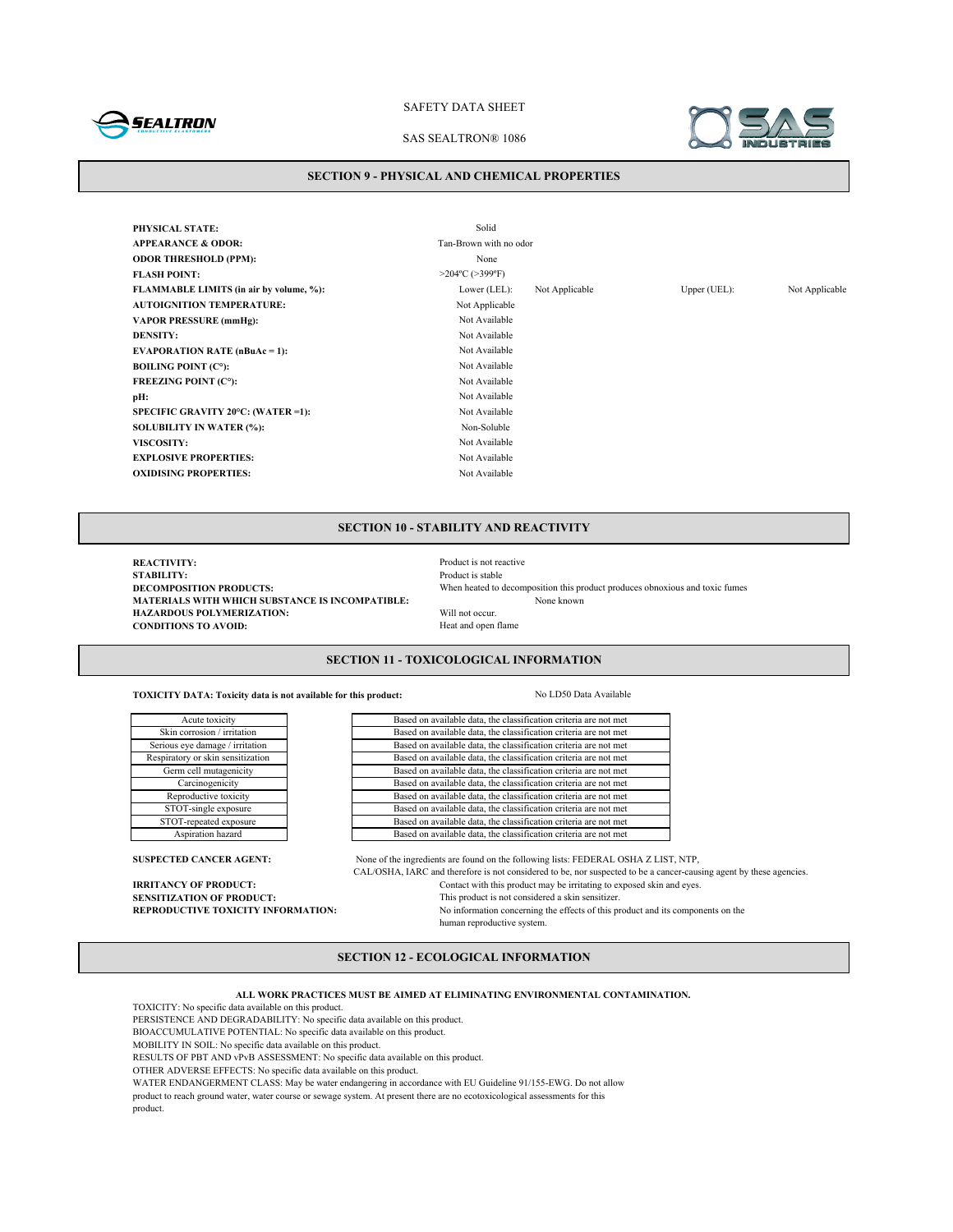

#### SAS SEALTRON® 1086



#### **SECTION 9 - PHYSICAL AND CHEMICAL PROPERTIES**

**PHYSICAL STATE:** Solid **APPEARANCE & ODOR:** Tan-Brown with no odor **ODOR THRESHOLD (PPM):** None **FLASH POINT:** >204°C (>399°F) **FLAMMABLE LIMITS (in air by volume, %):** Lower (LEL): Not Applicable Upper (UEL): Not Applicable **AUTOIGNITION TEMPERATURE:** Not Applicable **VAPOR PRESSURE (mmHg):** Not Available **DENSITY:** Not Available **EVAPORATION RATE (nBuAc = 1):** Not Available **BOILING POINT (C°):** Not Available **FREEZING POINT (C°):** Not Available **pH:** Not Available **SPECIFIC GRAVITY 20°C: (WATER =1):** Not Available **SOLUBILITY IN WATER (%):** Non-Soluble **VISCOSITY:** Not Available **EXPLOSIVE PROPERTIES:** Not Available **OXIDISING PROPERTIES:** Not Available

## **SECTION 10 - STABILITY AND REACTIVITY**

**REACTIVITY:**<br> **REACTIVITY:**<br> **Product is stable STABILITY:** Product is stable<br>DECOMPOSITION PRODUCTS: When heated to when heated to a stable **MATERIALS WITH WHICH SUBSTANCE IS INCOMPATIBLE:**<br> **HAZARDOUS POLYMERIZATION:** Will not occur. **HAZARDOUS POLYMERIZATION:** Will not occur.<br> **CONDITIONS TO AVOID:** Heat and open flame **CONDITIONS TO AVOID:** 

When heated to decomposition this product produces obnoxious and toxic fumes None known

## **SECTION 11 - TOXICOLOGICAL INFORMATION**

**TOXICITY DATA: Toxicity data is not available for this product:** No LD50 Data Available

Reproductive toxicity STOT-single exposure STOT-repeated exposure Aspiration hazard Acute toxicity Skin corrosion / irritation Serious eye damage / irritation Respiratory or skin sensitization Germ cell mutagenicity Carcinogenicity

product.

Based on available data, the classification criteria are not met Based on available data, the classification criteria are not met Based on available data, the classification criteria are not met Based on available data, the classification criteria are not met Based on available data, the classification criteria are not met Based on available data, the classification criteria are not met Based on available data, the classification criteria are not met Based on available data, the classification criteria are not met Based on available data, the classification criteria are not met

Based on available data, the classification criteria are not met

**SUSPECTED CANCER AGENT:** None of the ingredients are found on the following lists: FEDERAL OSHA Z LIST, NTP, CAL/OSHA, IARC and therefore is not considered to be, nor suspected to be a cancer-causing agent by these agencies. **IRRITANCY OF PRODUCT:** Contact with this product may be irritating to exposed skin and eyes.<br>**SENSITIZATION OF PRODUCT:** This product is not considered a skin sensitizer. **SENSITIZATION OF PRODUCT:**<br> **REPRODUCTIVE TOXICITY INFORMATION:** No information concerning the effects of this m No information concerning the effects of this product and its components on the human reproductive system.

## **SECTION 12 - ECOLOGICAL INFORMATION**

**ALL WORK PRACTICES MUST BE AIMED AT ELIMINATING ENVIRONMENTAL CONTAMINATION.**

TOXICITY: No specific data available on this product.

PERSISTENCE AND DEGRADABILITY: No specific data available on this product.

BIOACCUMULATIVE POTENTIAL: No specific data available on this product.

MOBILITY IN SOIL: No specific data available on this product.

RESULTS OF PBT AND vPvB ASSESSMENT: No specific data available on this product.

OTHER ADVERSE EFFECTS: No specific data available on this product.

WATER ENDANGERMENT CLASS: May be water endangering in accordance with EU Guideline 91/155-EWG. Do not allow

product to reach ground water, water course or sewage system. At present there are no ecotoxicological assessments for this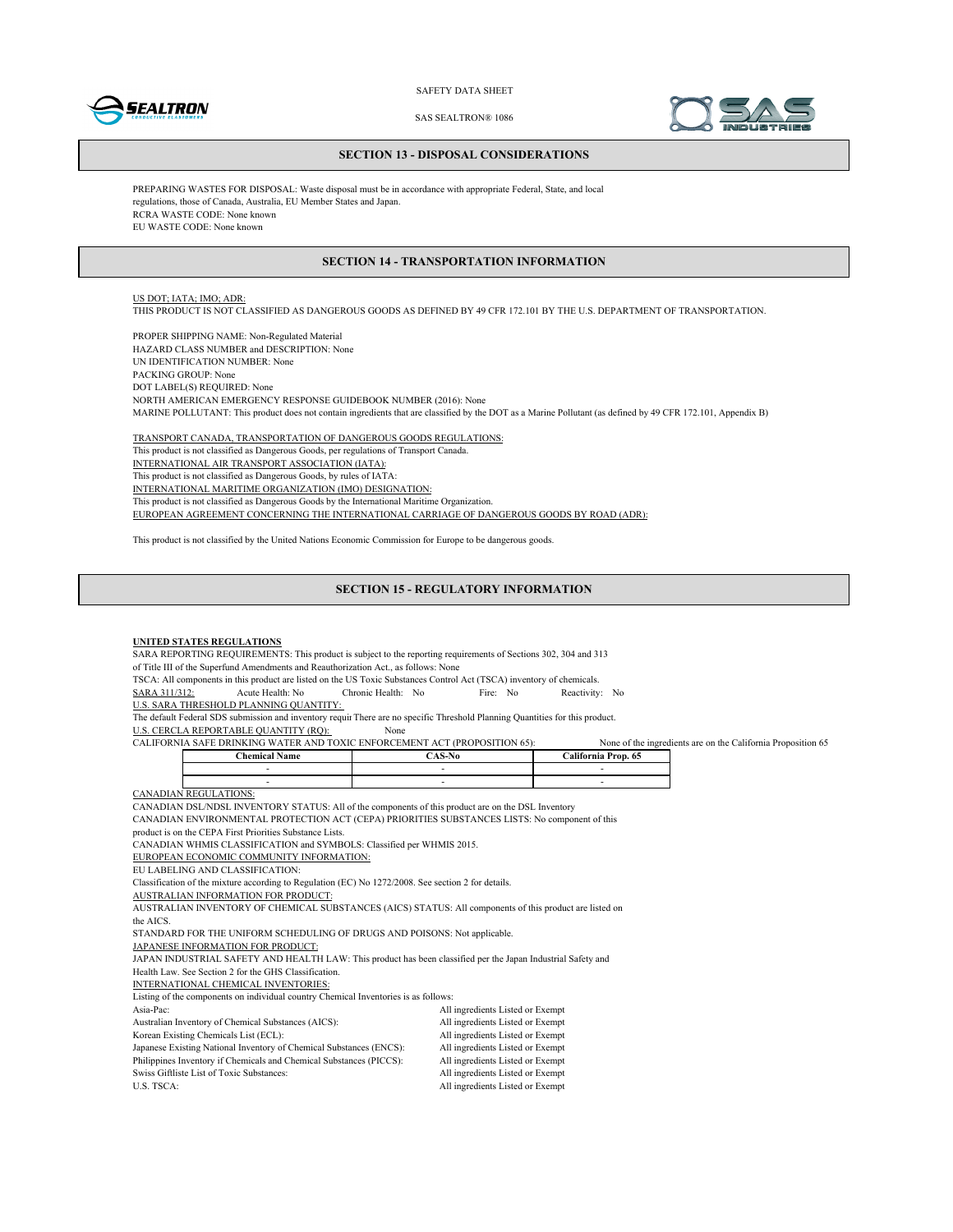



SAS SEALTRON® 1086

#### **SECTION 13 - DISPOSAL CONSIDERATIONS**

PREPARING WASTES FOR DISPOSAL: Waste disposal must be in accordance with appropriate Federal, State, and local regulations, those of Canada, Australia, EU Member States and Japan. RCRA WASTE CODE: None known EU WASTE CODE: None known

### **SECTION 14 - TRANSPORTATION INFORMATION**

## US DOT; IATA; IMO; ADR:

THIS PRODUCT IS NOT CLASSIFIED AS DANGEROUS GOODS AS DEFINED BY 49 CFR 172.101 BY THE U.S. DEPARTMENT OF TRANSPORTATION.

PROPER SHIPPING NAME: Non-Regulated Material HAZARD CLASS NUMBER and DESCRIPTION: None UN IDENTIFICATION NUMBER: None PACKING GROUP: None DOT LABEL(S) REQUIRED: None NORTH AMERICAN EMERGENCY RESPONSE GUIDEBOOK NUMBER (2016): None MARINE POLLUTANT: This product does not contain ingredients that are classified by the DOT as a Marine Pollutant (as defined by 49 CFR 172.101, Appendix B)

TRANSPORT CANADA, TRANSPORTATION OF DANGEROUS GOODS REGULATIONS: This product is not classified as Dangerous Goods, per regulations of Transport Canada. INTERNATIONAL AIR TRANSPORT ASSOCIATION (IATA): This product is not classified as Dangerous Goods, by rules of IATA: INTERNATIONAL MARITIME ORGANIZATION (IMO) DESIGNATION: This product is not classified as Dangerous Goods by the International Maritime Organization. EUROPEAN AGREEMENT CONCERNING THE INTERNATIONAL CARRIAGE OF DANGEROUS GOODS BY ROAD (ADR):

This product is not classified by the United Nations Economic Commission for Europe to be dangerous goods.

#### **SECTION 15 - REGULATORY INFORMATION**

#### **UNITED STATES REGULATIONS**

SARA REPORTING REQUIREMENTS: This product is subject to the reporting requirements of Sections 302, 304 and 313

of Title III of the Superfund Amendments and Reauthorization Act., as follows: None

TSCA: All components in this product are listed on the US Toxic Substances Control Act (TSCA) inventory of chemicals.<br>
SARA 311/312: Acute Health: No Fire: No Reactivity

SARA 311/312: Acute Health: No Chronic Health: No Fire: No Reactivity: No

U.S. SARA THRESHOLD PLANNING QUANTITY:

The default Federal SDS submission and inventory requir There are no specific Threshold Planning Quantities for this product.

U.S. CERCLA REPORTABLE QUANTITY (RQ): None

| --<br>W A<br>ORNIA<br>---<br>(PR)<br>ROPOSITION 65):<br>\ TER<br>TOXIC<br><b>NFOR</b><br>EME.<br><b>DRINKING</b><br>JALIF'<br>A C<br>…∍AFF |                  |                 | ` the<br>e ingredients.<br>None<br>$^{\circ}$ | Proposition 65<br>on the<br>L'alifornia.<br>. are |
|--------------------------------------------------------------------------------------------------------------------------------------------|------------------|-----------------|-----------------------------------------------|---------------------------------------------------|
|                                                                                                                                            | hemical:<br>Name | -N0<br>А<br>. . | <br>Prop.<br>alifornia                        |                                                   |

CAN.

CANADIAN DSL/NDSL INVENTORY STATUS: All of the components of this product are on the DSL Inventory

CANADIAN ENVIRONMENTAL PROTECTION ACT (CEPA) PRIORITIES SUBSTANCES LISTS: No component of this

product is on the CEPA First Priorities Substance Lists.

CANADIAN WHMIS CLASSIFICATION and SYMBOLS: Classified per WHMIS 2015.

EUROPEAN ECONOMIC COMMUNITY INFORMATION:

EU LABELING AND CLASSIFICATION:

Classification of the mixture according to Regulation (EC) No 1272/2008. See section 2 for details.

AUSTRALIAN INFORMATION FOR PRODUCT:

AUSTRALIAN INVENTORY OF CHEMICAL SUBSTANCES (AICS) STATUS: All components of this product are listed on

the AICS.

STANDARD FOR THE UNIFORM SCHEDULING OF DRUGS AND POISONS: Not applicable.

JAPANESE INFORMATION FOR PRODUCT:

JAPAN INDUSTRIAL SAFETY AND HEALTH LAW: This product has been classified per the Japan Industrial Safety and

Health Law. See Section 2 for the GHS Classification.

INTERNATIONAL CHEMICAL INVENTORIES: Listing of the components on individual country Chemical Inventories is as follows:

| Listing of the components on murviqual country Chemical inventories is as follows. |                                  |
|------------------------------------------------------------------------------------|----------------------------------|
| Asia-Pac:                                                                          | All ingredients Listed or Exempt |
| Australian Inventory of Chemical Substances (AICS):                                | All ingredients Listed or Exempt |
| Korean Existing Chemicals List (ECL):                                              | All ingredients Listed or Exempt |
| Japanese Existing National Inventory of Chemical Substances (ENCS):                | All ingredients Listed or Exempt |
| Philippines Inventory if Chemicals and Chemical Substances (PICCS):                | All ingredients Listed or Exempt |
| Swiss Giftliste List of Toxic Substances:                                          | All ingredients Listed or Exempt |
| U.S. TSCA:                                                                         | All ingredients Listed or Exempt |
|                                                                                    |                                  |